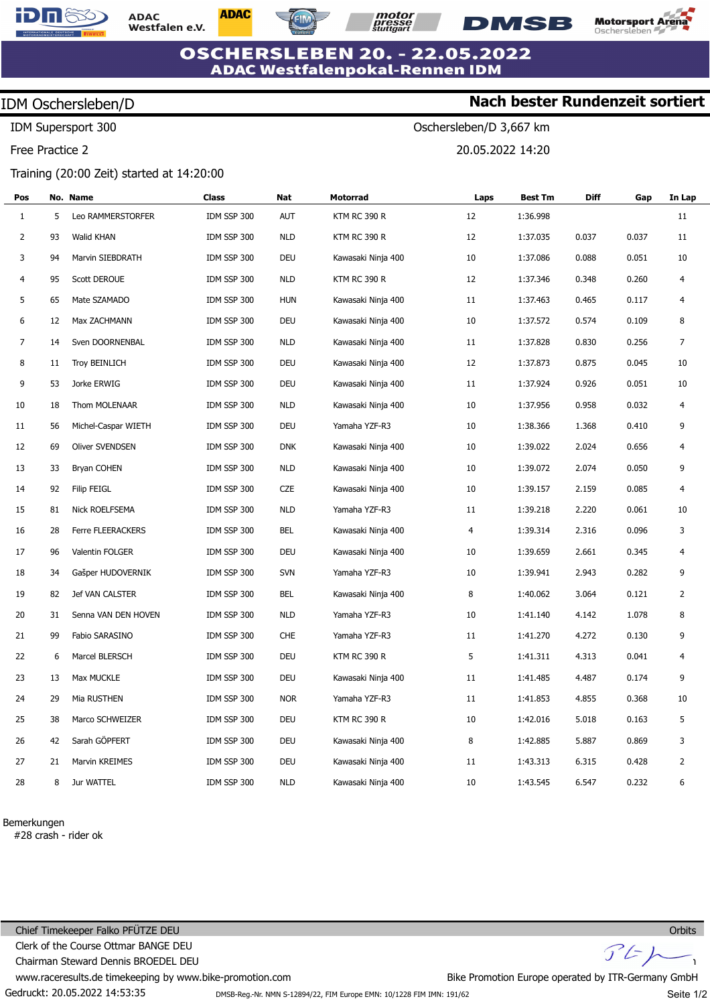

**ADAC** Westfalen e.V. **ADAC** 



Oschersleben/D 3,667 km

20.05.2022 14:20



**Nach bester Rundenzeit sortiert**

**OSCHERSLEBEN 20. - 22.05.2022 ADAC Westfalenpokal-Rennen IDM** 

## IDM Oschersleben/D

IDM Supersport 300

Free Practice 2

## Training (20:00 Zeit) started at 14:20:00

| Pos            |    | No. Name             | Class       | Nat        | Motorrad            | Laps | Best Tm  | <b>Diff</b> | Gap   | In Lap         |
|----------------|----|----------------------|-------------|------------|---------------------|------|----------|-------------|-------|----------------|
| $\mathbf{1}$   | 5  | Leo RAMMERSTORFER    | IDM SSP 300 | <b>AUT</b> | <b>KTM RC 390 R</b> | 12   | 1:36.998 |             |       | 11             |
| $\overline{2}$ | 93 | Walid KHAN           | IDM SSP 300 | <b>NLD</b> | <b>KTM RC 390 R</b> | 12   | 1:37.035 | 0.037       | 0.037 | 11             |
| 3              | 94 | Marvin SIEBDRATH     | IDM SSP 300 | DEU        | Kawasaki Ninja 400  | 10   | 1:37.086 | 0.088       | 0.051 | 10             |
| 4              | 95 | <b>Scott DEROUE</b>  | IDM SSP 300 | <b>NLD</b> | <b>KTM RC 390 R</b> | 12   | 1:37.346 | 0.348       | 0.260 | 4              |
| 5              | 65 | Mate SZAMADO         | IDM SSP 300 | <b>HUN</b> | Kawasaki Ninja 400  | 11   | 1:37.463 | 0.465       | 0.117 | 4              |
| 6              | 12 | Max ZACHMANN         | IDM SSP 300 | DEU        | Kawasaki Ninja 400  | 10   | 1:37.572 | 0.574       | 0.109 | 8              |
| 7              | 14 | Sven DOORNENBAL      | IDM SSP 300 | <b>NLD</b> | Kawasaki Ninja 400  | 11   | 1:37.828 | 0.830       | 0.256 | 7              |
| 8              | 11 | <b>Troy BEINLICH</b> | IDM SSP 300 | DEU        | Kawasaki Ninja 400  | 12   | 1:37.873 | 0.875       | 0.045 | 10             |
| 9              | 53 | Jorke ERWIG          | IDM SSP 300 | DEU        | Kawasaki Ninja 400  | 11   | 1:37.924 | 0.926       | 0.051 | 10             |
| 10             | 18 | Thom MOLENAAR        | IDM SSP 300 | <b>NLD</b> | Kawasaki Ninja 400  | 10   | 1:37.956 | 0.958       | 0.032 | 4              |
| 11             | 56 | Michel-Caspar WIETH  | IDM SSP 300 | DEU        | Yamaha YZF-R3       | 10   | 1:38.366 | 1.368       | 0.410 | 9              |
| 12             | 69 | Oliver SVENDSEN      | IDM SSP 300 | <b>DNK</b> | Kawasaki Ninja 400  | 10   | 1:39.022 | 2.024       | 0.656 | 4              |
| 13             | 33 | <b>Bryan COHEN</b>   | IDM SSP 300 | <b>NLD</b> | Kawasaki Ninja 400  | 10   | 1:39.072 | 2.074       | 0.050 | 9              |
| 14             | 92 | <b>Filip FEIGL</b>   | IDM SSP 300 | CZE        | Kawasaki Ninja 400  | 10   | 1:39.157 | 2.159       | 0.085 | 4              |
| 15             | 81 | Nick ROELFSEMA       | IDM SSP 300 | <b>NLD</b> | Yamaha YZF-R3       | 11   | 1:39.218 | 2.220       | 0.061 | 10             |
| 16             | 28 | Ferre FLEERACKERS    | IDM SSP 300 | BEL        | Kawasaki Ninja 400  | 4    | 1:39.314 | 2.316       | 0.096 | 3              |
| 17             | 96 | Valentin FOLGER      | IDM SSP 300 | DEU        | Kawasaki Ninja 400  | 10   | 1:39.659 | 2.661       | 0.345 | 4              |
| 18             | 34 | Gašper HUDOVERNIK    | IDM SSP 300 | <b>SVN</b> | Yamaha YZF-R3       | 10   | 1:39.941 | 2.943       | 0.282 | 9              |
| 19             | 82 | Jef VAN CALSTER      | IDM SSP 300 | BEL        | Kawasaki Ninja 400  | 8    | 1:40.062 | 3.064       | 0.121 | 2              |
| 20             | 31 | Senna VAN DEN HOVEN  | IDM SSP 300 | <b>NLD</b> | Yamaha YZF-R3       | 10   | 1:41.140 | 4.142       | 1.078 | 8              |
| 21             | 99 | Fabio SARASINO       | IDM SSP 300 | <b>CHE</b> | Yamaha YZF-R3       | 11   | 1:41.270 | 4.272       | 0.130 | 9              |
| 22             | 6  | Marcel BLERSCH       | IDM SSP 300 | DEU        | <b>KTM RC 390 R</b> | 5    | 1:41.311 | 4.313       | 0.041 | 4              |
| 23             | 13 | Max MUCKLE           | IDM SSP 300 | DEU        | Kawasaki Ninja 400  | 11   | 1:41.485 | 4.487       | 0.174 | 9              |
| 24             | 29 | Mia RUSTHEN          | IDM SSP 300 | <b>NOR</b> | Yamaha YZF-R3       | 11   | 1:41.853 | 4.855       | 0.368 | 10             |
| 25             | 38 | Marco SCHWEIZER      | IDM SSP 300 | DEU        | <b>KTM RC 390 R</b> | 10   | 1:42.016 | 5.018       | 0.163 | 5              |
| 26             | 42 | Sarah GÖPFERT        | IDM SSP 300 | DEU        | Kawasaki Ninja 400  | 8    | 1:42.885 | 5.887       | 0.869 | 3              |
| 27             | 21 | Marvin KREIMES       | IDM SSP 300 | DEU        | Kawasaki Ninja 400  | 11   | 1:43.313 | 6.315       | 0.428 | $\overline{2}$ |
| 28             | 8  | Jur WATTEL           | IDM SSP 300 | <b>NLD</b> | Kawasaki Ninja 400  | 10   | 1:43.545 | 6.547       | 0.232 | 6              |

Bemerkungen

#28 crash - rider ok

Gedruckt: 20.05.2022 14:53:35 Chief Timekeeper Falko PFÜTZE DEU Clerk of the Course Ottmar BANGE DEU Chairman Steward Dennis BROEDEL DEU www.raceresults.de timekeeping by www.bike-promotion.com  $J'$ 



Bike Promotion Europe operated by ITR-Germany GmbH

Seite 1/2